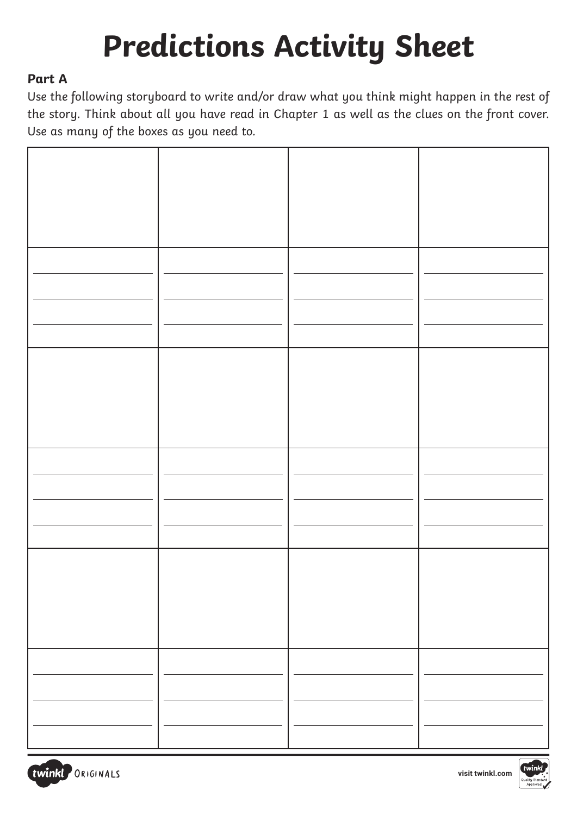## **Predictions Activity Sheet**

## **Part A**

Use the following storyboard to write and/or draw what you think might happen in the rest of the story. Think about all you have read in Chapter 1 as well as the clues on the front cover. Use as many of the boxes as you need to.

| Ξ.                       | $\overline{\phantom{0}}$ |  |
|--------------------------|--------------------------|--|
| $\overline{\phantom{0}}$ | $\overline{\phantom{0}}$ |  |
|                          |                          |  |
|                          |                          |  |
|                          |                          |  |
|                          |                          |  |
|                          |                          |  |
|                          |                          |  |
|                          |                          |  |
|                          |                          |  |



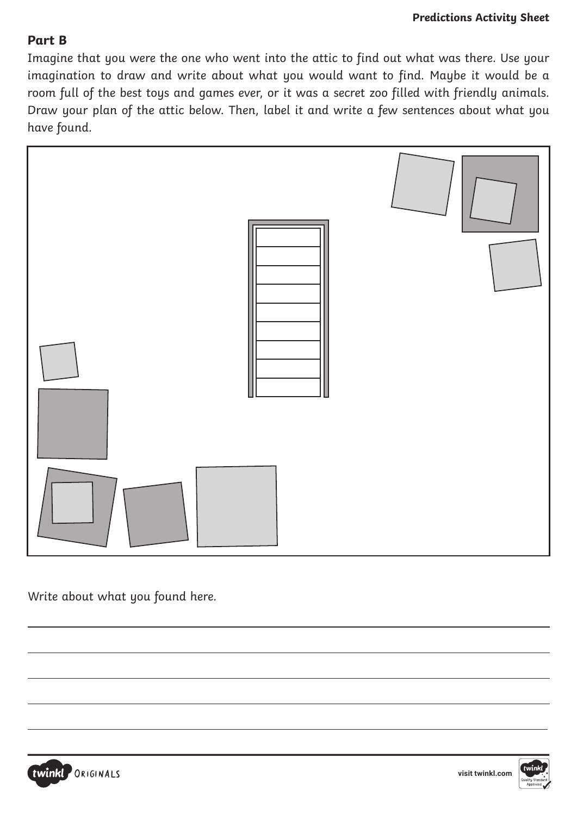## **Part B**

Imagine that you were the one who went into the attic to find out what was there. Use your imagination to draw and write about what you would want to find. Maybe it would be a room full of the best toys and games ever, or it was a secret zoo filled with friendly animals. Draw your plan of the attic below. Then, label it and write a few sentences about what you have found.



Write about what you found here.



 $\overline{a}$ 

 $\overline{a}$ 

 $\overline{a}$ 

 $\overline{a}$ 



 $\overline{a}$